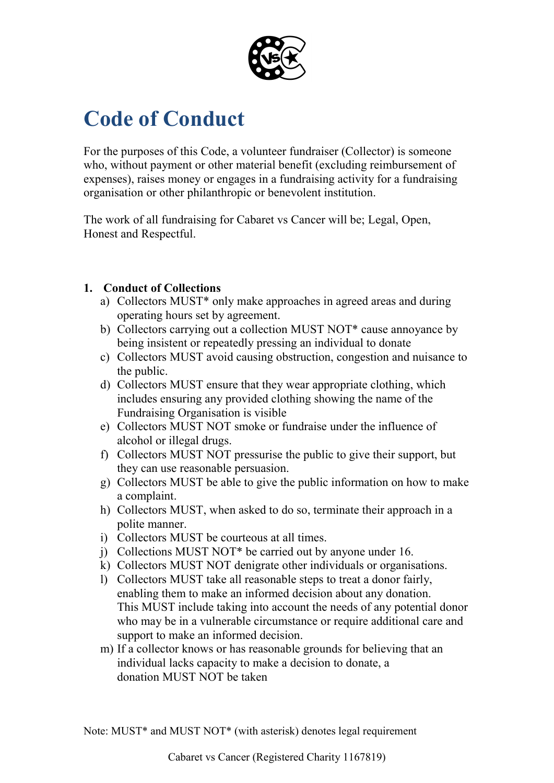

# **Code of Conduct**

For the purposes of this Code, a volunteer fundraiser (Collector) is someone who, without payment or other material benefit (excluding reimbursement of expenses), raises money or engages in a fundraising activity for a fundraising organisation or other philanthropic or benevolent institution.

The work of all fundraising for Cabaret vs Cancer will be; Legal, Open, Honest and Respectful.

# **1. Conduct of Collections**

- a) Collectors MUST\* only make approaches in agreed areas and during operating hours set by agreement.
- b) Collectors carrying out a collection MUST NOT\* cause annoyance by being insistent or repeatedly pressing an individual to donate
- c) Collectors MUST avoid causing obstruction, congestion and nuisance to the public.
- d) Collectors MUST ensure that they wear appropriate clothing, which includes ensuring any provided clothing showing the name of the Fundraising Organisation is visible
- e) Collectors MUST NOT smoke or fundraise under the influence of alcohol or illegal drugs.
- f) Collectors MUST NOT pressurise the public to give their support, but they can use reasonable persuasion.
- g) Collectors MUST be able to give the public information on how to make a complaint.
- h) Collectors MUST, when asked to do so, terminate their approach in a polite manner.
- i) Collectors MUST be courteous at all times.
- j) Collections MUST NOT\* be carried out by anyone under 16.
- k) Collectors MUST NOT denigrate other individuals or organisations.
- l) Collectors MUST take all reasonable steps to treat a donor fairly, enabling them to make an informed decision about any donation. This MUST include taking into account the needs of any potential donor who may be in a vulnerable circumstance or require additional care and support to make an informed decision.
- m) If a collector knows or has reasonable grounds for believing that an individual lacks capacity to make a decision to donate, a donation MUST NOT be taken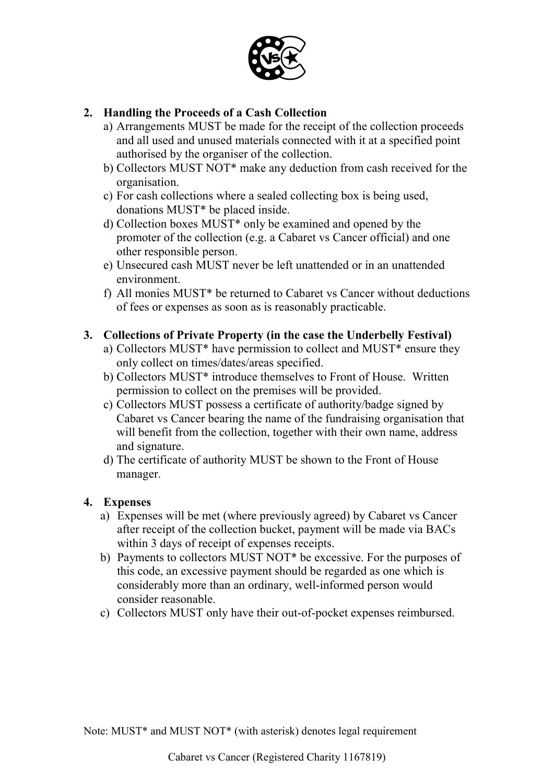

# **2. Handling the Proceeds of a Cash Collection**

- a) Arrangements MUST be made for the receipt of the collection proceeds and all used and unused materials connected with it at a specified point authorised by the organiser of the collection.
- b) [Collectors](https://www.fundraisingregulator.org.uk/code-of-fundraising-practice/legal-appendices/l8-0-professional-fundraisers-agreements/) MUST NOT\* make any deduction from cash received for the organisation.
- c) For cash collections where a sealed collecting box is being used, donations MUST\* be placed inside.
- d) Collection boxes MUST\* only be examined and opened by the promoter of the collection (e.g. a Cabaret vs Cancer official) and one other responsible person.
- e) Unsecured cash MUST never be left unattended or in an unattended environment.
- f) All monies MUST\* be returned to Cabaret vs Cancer without deductions of fees or expenses as soon as is reasonably practicable.

#### **3. Collections of Private Property (in the case the Underbelly Festival)**

- a) [Collectors](https://www.fundraisingregulator.org.uk/code-of-fundraising-practice/legal-appendices/l8-0-professional-fundraisers-agreements/) MUST\* have permission to collect and MUST\* ensure they only collect on times/dates/areas specified.
- b) [Collectors](https://www.fundraisingregulator.org.uk/code-of-fundraising-practice/legal-appendices/l8-0-professional-fundraisers-agreements/) MUST\* introduce themselves to Front of House. Written permission to collect on the premises will be provided.
- c) Collectors MUST possess a certificate of authority/badge signed by Cabaret vs Cancer bearing the name of the fundraising organisation that will benefit from the collection, together with their own name, address and signature.
- d) The certificate of authority MUST be shown to the Front of House manager.

#### **4. Expenses**

- a) Expenses will be met (where previously agreed) by Cabaret vs Cancer after receipt of the collection bucket, payment will be made via BACs within 3 days of receipt of expenses receipts.
- b) Payments to collectors MUST NOT\* be excessive. For the purposes of this code, an excessive payment should be regarded as one which is considerably more than an ordinary, well-informed person would consider reasonable.
- c) Collectors MUST only have their out-of-pocket expenses reimbursed.

Note: MUST<sup>\*</sup> and MUST NOT<sup>\*</sup> (with asterisk) denotes legal requirement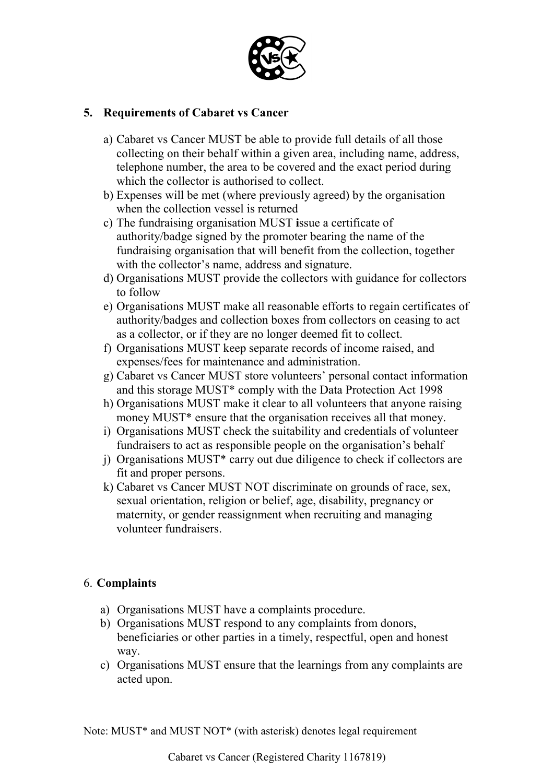

### **5. Requirements of Cabaret vs Cancer**

- a) Cabaret vs Cancer MUST be able to provide full details of all those collecting on their behalf within a given area, including name, address, telephone number, the area to be covered and the exact period during which the collector is authorised to collect.
- b) Expenses will be met (where previously agreed) by the organisation when the collection vessel is returned
- c) The fundraising organisation MUST **i**ssue a certificate of authority/badge signed by the promoter bearing the name of the fundraising organisation that will benefit from the collection, together with the collector's name, address and signature.
- d) Organisations MUST provide the collectors with guidance for collectors to follow
- e) Organisations MUST make all reasonable efforts to regain certificates of authority/badges and collection boxes from collectors on ceasing to act as a collector, or if they are no longer deemed fit to collect.
- f) Organisations MUST keep separate records of income raised, and expenses/fees for maintenance and administration.
- g) Cabaret vs Cancer MUST store volunteers' personal contact information and this storage MUST\* comply with the Data Protection Act 1998
- h) Organisations MUST make it clear to all volunteers that anyone raising money MUST<sup>\*</sup> ensure that the organisation receives all that money.
- i) Organisations MUST check the suitability and credentials of volunteer fundraisers to act as responsible people on the organisation's behalf
- j) Organisations MUST\* carry out due diligence to check if collectors are fit and proper persons.
- k) Cabaret vs Cancer MUST NOT discriminate on grounds of race, sex, sexual orientation, religion or belief, age, disability, pregnancy or maternity, or gender reassignment when recruiting and managing volunteer fundraisers.

# 6. **Complaints**

- a) Organisations MUST have a complaints procedure.
- b) Organisations MUST respond to any complaints from donors, beneficiaries or other parties in a timely, respectful, open and honest way.
- c) Organisations MUST ensure that the learnings from any complaints are acted upon.

Note: MUST<sup>\*</sup> and MUST NOT<sup>\*</sup> (with asterisk) denotes legal requirement